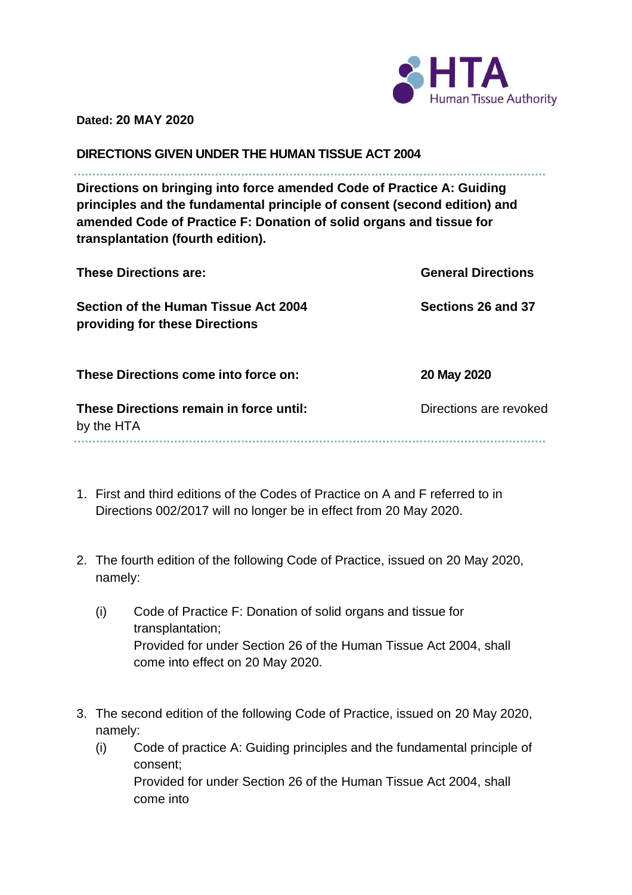

**Dated: 20 MAY 2020**

**DIRECTIONS GIVEN UNDER THE HUMAN TISSUE ACT 2004**

**Directions on bringing into force amended Code of Practice A: Guiding principles and the fundamental principle of consent (second edition) and amended Code of Practice F: Donation of solid organs and tissue for transplantation (fourth edition).**

| <b>These Directions are:</b>                                           | <b>General Directions</b> |
|------------------------------------------------------------------------|---------------------------|
| Section of the Human Tissue Act 2004<br>providing for these Directions | Sections 26 and 37        |
| These Directions come into force on:                                   | 20 May 2020               |
| These Directions remain in force until:<br>by the HTA                  | Directions are revoked    |
|                                                                        |                           |

- 1. First and third editions of the Codes of Practice on A and F referred to in Directions 002/2017 will no longer be in effect from 20 May 2020.
- 2. The fourth edition of the following Code of Practice, issued on 20 May 2020, namely:
	- (i) Code of Practice F: Donation of solid organs and tissue for transplantation; Provided for under Section 26 of the Human Tissue Act 2004, shall come into effect on 20 May 2020.
- 3. The second edition of the following Code of Practice, issued on 20 May 2020, namely:
	- (i) Code of practice A: Guiding principles and the fundamental principle of consent; Provided for under Section 26 of the Human Tissue Act 2004, shall come into